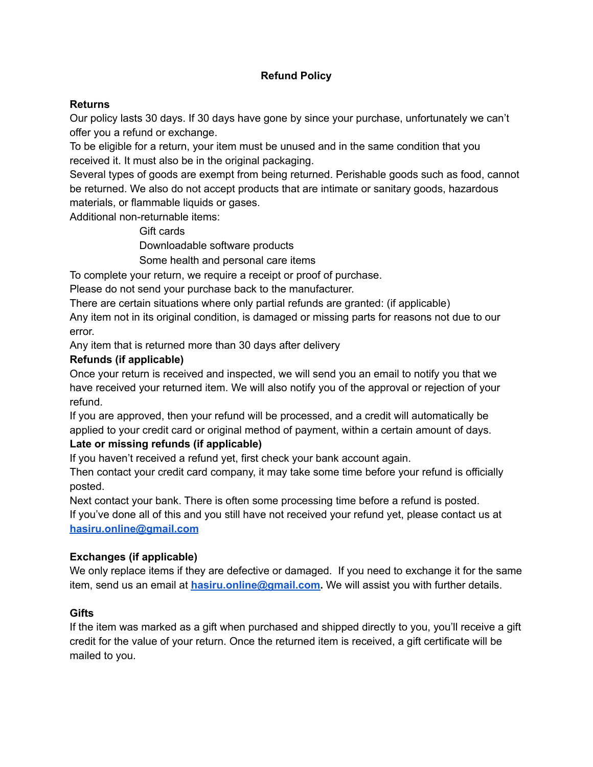# **Refund Policy**

### **Returns**

Our policy lasts 30 days. If 30 days have gone by since your purchase, unfortunately we can't offer you a refund or exchange.

To be eligible for a return, your item must be unused and in the same condition that you received it. It must also be in the original packaging.

Several types of goods are exempt from being returned. Perishable goods such as food, cannot be returned. We also do not accept products that are intimate or sanitary goods, hazardous materials, or flammable liquids or gases.

Additional non-returnable items:

Gift cards

Downloadable software products

Some health and personal care items

To complete your return, we require a receipt or proof of purchase.

Please do not send your purchase back to the manufacturer.

There are certain situations where only partial refunds are granted: (if applicable)

Any item not in its original condition, is damaged or missing parts for reasons not due to our error.

Any item that is returned more than 30 days after delivery

#### **Refunds (if applicable)**

Once your return is received and inspected, we will send you an email to notify you that we have received your returned item. We will also notify you of the approval or rejection of your refund.

If you are approved, then your refund will be processed, and a credit will automatically be applied to your credit card or original method of payment, within a certain amount of days.

### **Late or missing refunds (if applicable)**

If you haven't received a refund yet, first check your bank account again.

Then contact your credit card company, it may take some time before your refund is officially posted.

Next contact your bank. There is often some processing time before a refund is posted. If you've done all of this and you still have not received your refund yet, please contact us at **[hasiru.online@gmail.com](mailto:hasiru.online@gmail.com)**

### **Exchanges (if applicable)**

We only replace items if they are defective or damaged. If you need to exchange it for the same item, send us an email at **[hasiru.online@gmail.com.](mailto:hasiru.online@gmail.com)** We will assist you with further details.

### **Gifts**

If the item was marked as a gift when purchased and shipped directly to you, you'll receive a gift credit for the value of your return. Once the returned item is received, a gift certificate will be mailed to you.